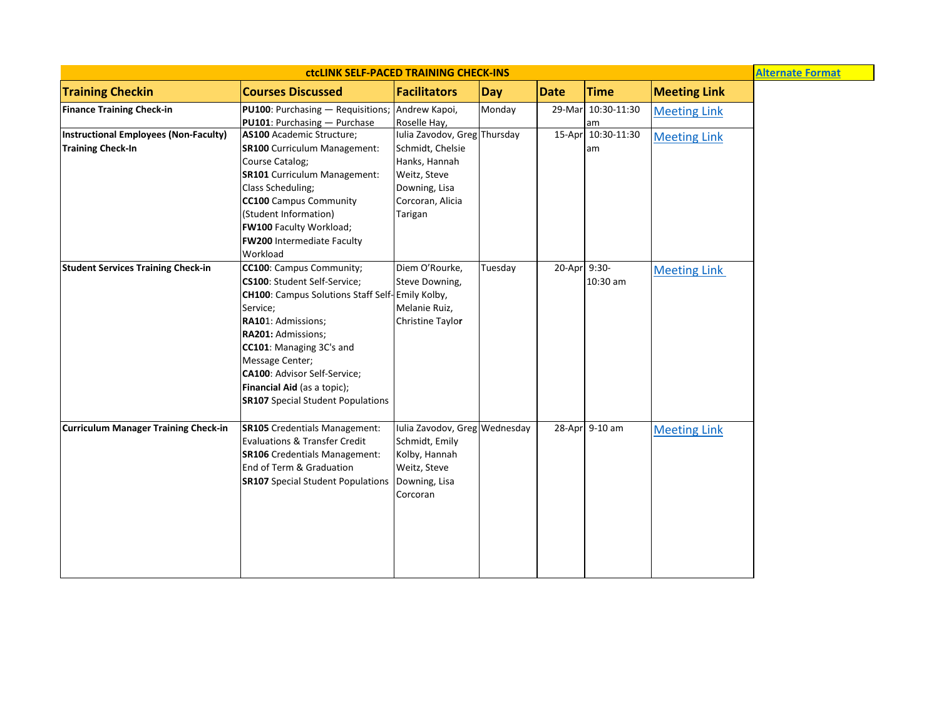| <b>ctcLINK SELF-PACED TRAINING CHECK-INS</b>                      |                                                                                                                                                                                                                                                                                                                                             |                                                                                                                                   |            |              |                   | <b>Alternate Format</b> |  |
|-------------------------------------------------------------------|---------------------------------------------------------------------------------------------------------------------------------------------------------------------------------------------------------------------------------------------------------------------------------------------------------------------------------------------|-----------------------------------------------------------------------------------------------------------------------------------|------------|--------------|-------------------|-------------------------|--|
| <b>Training Checkin</b>                                           | <b>Courses Discussed</b>                                                                                                                                                                                                                                                                                                                    | <b>Facilitators</b>                                                                                                               | <b>Day</b> | <b>Date</b>  | <b>Time</b>       | <b>Meeting Link</b>     |  |
| <b>Finance Training Check-in</b>                                  | PU100: Purchasing - Requisitions; Andrew Kapoi,<br>PU101: Purchasing - Purchase                                                                                                                                                                                                                                                             | Roselle Hay,                                                                                                                      | Monday     | 29-Mar       | 10:30-11:30<br>am | <b>Meeting Link</b>     |  |
| Instructional Employees (Non-Faculty)<br><b>Training Check-In</b> | AS100 Academic Structure;<br><b>SR100</b> Curriculum Management:<br>Course Catalog;<br><b>SR101</b> Curriculum Management:<br>Class Scheduling;<br><b>CC100</b> Campus Community<br>(Student Information)<br>FW100 Faculty Workload;<br>FW200 Intermediate Faculty<br>Workload                                                              | Iulia Zavodov, Greg Thursday<br>Schmidt, Chelsie<br>Hanks, Hannah<br>Weitz, Steve<br>Downing, Lisa<br>Corcoran, Alicia<br>Tarigan |            | 15-Apr       | 10:30-11:30<br>am | <b>Meeting Link</b>     |  |
| <b>Student Services Training Check-in</b>                         | CC100: Campus Community;<br>CS100: Student Self-Service;<br><b>CH100:</b> Campus Solutions Staff Self-Emily Kolby,<br>Service;<br>RA101: Admissions;<br>RA201: Admissions;<br>CC101: Managing 3C's and<br>Message Center;<br><b>CA100: Advisor Self-Service;</b><br>Financial Aid (as a topic);<br><b>SR107</b> Special Student Populations | Diem O'Rourke,<br>Steve Downing,<br>Melanie Ruiz,<br><b>Christine Taylor</b>                                                      | Tuesday    | 20-Apr 9:30- | 10:30 am          | <b>Meeting Link</b>     |  |
| <b>Curriculum Manager Training Check-in</b>                       | <b>SR105</b> Credentials Management:<br><b>Evaluations &amp; Transfer Credit</b><br><b>SR106</b> Credentials Management:<br>End of Term & Graduation<br><b>SR107</b> Special Student Populations                                                                                                                                            | Iulia Zavodov, Greg Wednesday<br>Schmidt, Emily<br>Kolby, Hannah<br>Weitz, Steve<br>Downing, Lisa<br>Corcoran                     |            |              | 28-Apr 9-10 am    | <b>Meeting Link</b>     |  |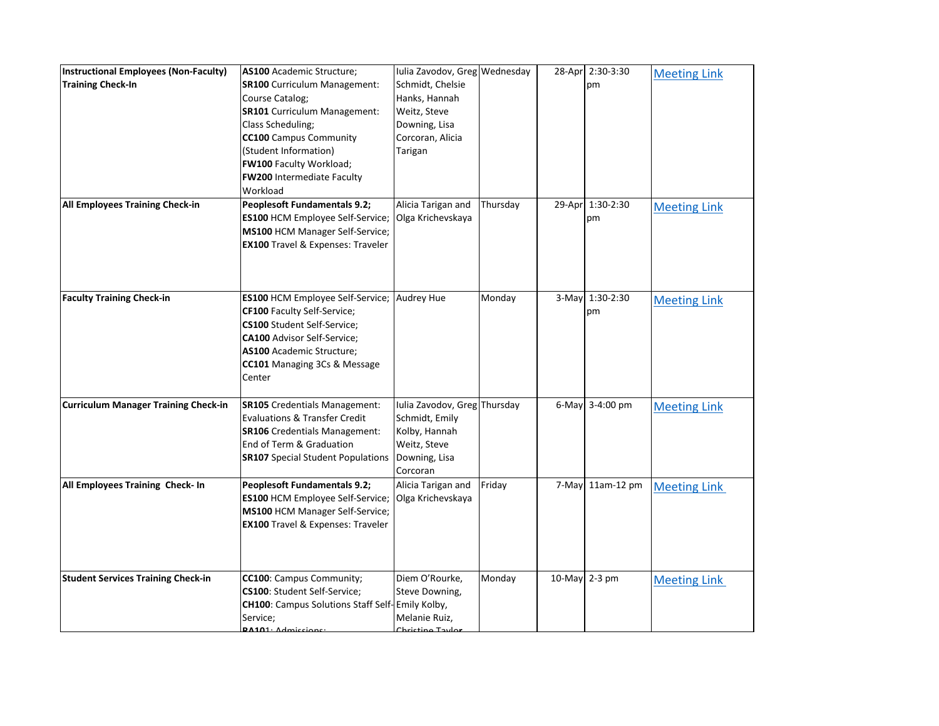| <b>Instructional Employees (Non-Faculty)</b><br><b>Training Check-In</b> | AS100 Academic Structure;<br><b>SR100</b> Curriculum Management:<br>Course Catalog;<br><b>SR101</b> Curriculum Management:<br>Class Scheduling;<br><b>CC100</b> Campus Community<br>(Student Information)<br><b>FW100 Faculty Workload;</b><br>FW200 Intermediate Faculty<br>Workload | Iulia Zavodov, Greg Wednesday<br>Schmidt, Chelsie<br>Hanks, Hannah<br>Weitz, Steve<br>Downing, Lisa<br>Corcoran, Alicia<br>Tarigan |          | 28-Apr 2:30-3:30<br>pm | <b>Meeting Link</b> |
|--------------------------------------------------------------------------|---------------------------------------------------------------------------------------------------------------------------------------------------------------------------------------------------------------------------------------------------------------------------------------|------------------------------------------------------------------------------------------------------------------------------------|----------|------------------------|---------------------|
| All Employees Training Check-in                                          | <b>Peoplesoft Fundamentals 9.2;</b><br>ES100 HCM Employee Self-Service;<br><b>MS100 HCM Manager Self-Service;</b><br><b>EX100</b> Travel & Expenses: Traveler                                                                                                                         | Alicia Tarigan and<br>Olga Krichevskaya                                                                                            | Thursday | 29-Apr 1:30-2:30<br>pm | <b>Meeting Link</b> |
| <b>Faculty Training Check-in</b>                                         | <b>ES100 HCM Employee Self-Service; Audrey Hue</b><br><b>CF100</b> Faculty Self-Service;<br><b>CS100</b> Student Self-Service;<br><b>CA100</b> Advisor Self-Service;<br><b>AS100</b> Academic Structure;<br>CC101 Managing 3Cs & Message<br>Center                                    |                                                                                                                                    | Monday   | 3-May 1:30-2:30<br>pm  | <b>Meeting Link</b> |
| <b>Curriculum Manager Training Check-in</b>                              | <b>SR105</b> Credentials Management:<br><b>Evaluations &amp; Transfer Credit</b><br><b>SR106</b> Credentials Management:<br>End of Term & Graduation<br><b>SR107</b> Special Student Populations                                                                                      | Iulia Zavodov, Greg Thursday<br>Schmidt, Emily<br>Kolby, Hannah<br>Weitz, Steve<br>Downing, Lisa<br>Corcoran                       |          | 6-May 3-4:00 pm        | <b>Meeting Link</b> |
| All Employees Training Check- In                                         | <b>Peoplesoft Fundamentals 9.2;</b><br><b>ES100 HCM Employee Self-Service;</b><br><b>MS100 HCM Manager Self-Service;</b><br><b>EX100</b> Travel & Expenses: Traveler                                                                                                                  | Alicia Tarigan and<br>Olga Krichevskaya                                                                                            | Friday   | 7-May 11am-12 pm       | <b>Meeting Link</b> |
| <b>Student Services Training Check-in</b>                                | CC100: Campus Community;<br>CS100: Student Self-Service;<br><b>CH100:</b> Campus Solutions Staff Self-Emily Kolby,<br>Service;<br>$DA101 \cdot$ Admissions:                                                                                                                           | Diem O'Rourke,<br>Steve Downing,<br>Melanie Ruiz,<br>Chricting Taylor                                                              | Monday   | 10-May 2-3 pm          | <b>Meeting Link</b> |